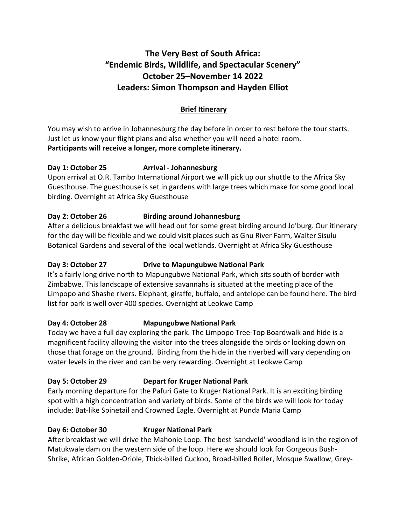# **The Very Best of South Africa: "Endemic Birds, Wildlife, and Spectacular Scenery" October 25–November 14 2022 Leaders: Simon Thompson and Hayden Elliot**

### **Brief Itinerary**

You may wish to arrive in Johannesburg the day before in order to rest before the tour starts. Just let us know your flight plans and also whether you will need a hotel room. **Participants will receive a longer, more complete itinerary.** 

#### **Day 1: October 25 Arrival - Johannesburg**

Upon arrival at O.R. Tambo International Airport we will pick up our shuttle to the Africa Sky Guesthouse. The guesthouse is set in gardens with large trees which make for some good local birding. Overnight at Africa Sky Guesthouse

#### **Day 2: October 26 Birding around Johannesburg**

After a delicious breakfast we will head out for some great birding around Jo'burg. Our itinerary for the day will be flexible and we could visit places such as Gnu River Farm, Walter Sisulu Botanical Gardens and several of the local wetlands. Overnight at Africa Sky Guesthouse

#### **Day 3: October 27 Drive to Mapungubwe National Park**

It's a fairly long drive north to Mapungubwe National Park, which sits south of border with Zimbabwe. This landscape of extensive savannahs is situated at the meeting place of the Limpopo and Shashe rivers. Elephant, giraffe, buffalo, and antelope can be found here. The bird list for park is well over 400 species. Overnight at Leokwe Camp

#### **Day 4: October 28 Mapungubwe National Park**

Today we have a full day exploring the park. The Limpopo Tree-Top Boardwalk and hide is a magnificent facility allowing the visitor into the trees alongside the birds or looking down on those that forage on the ground. Birding from the hide in the riverbed will vary depending on water levels in the river and can be very rewarding. Overnight at Leokwe Camp

#### **Day 5: October 29 Depart for Kruger National Park**

Early morning departure for the Pafuri Gate to Kruger National Park. It is an exciting birding spot with a high concentration and variety of birds. Some of the birds we will look for today include: Bat-like Spinetail and Crowned Eagle. Overnight at Punda Maria Camp

### **Day 6: October 30 Kruger National Park**

After breakfast we will drive the Mahonie Loop. The best 'sandveld' woodland is in the region of Matukwale dam on the western side of the loop. Here we should look for Gorgeous Bush-Shrike, African Golden-Oriole, Thick-billed Cuckoo, Broad-billed Roller, Mosque Swallow, Grey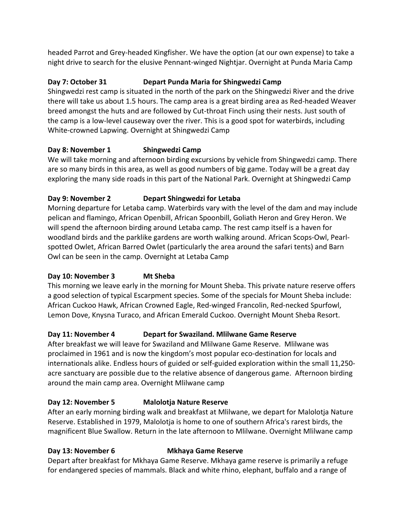headed Parrot and Grey-headed Kingfisher. We have the option (at our own expense) to take a night drive to search for the elusive Pennant-winged Nightjar. Overnight at Punda Maria Camp

### **Day 7: October 31 Depart Punda Maria for Shingwedzi Camp**

Shingwedzi rest camp is situated in the north of the park on the Shingwedzi River and the drive there will take us about 1.5 hours. The camp area is a great birding area as Red-headed Weaver breed amongst the huts and are followed by Cut-throat Finch using their nests. Just south of the camp is a low-level causeway over the river. This is a good spot for waterbirds, including White-crowned Lapwing. Overnight at Shingwedzi Camp

#### **Day 8: November 1 Shingwedzi Camp**

We will take morning and afternoon birding excursions by vehicle from Shingwedzi camp. There are so many birds in this area, as well as good numbers of big game. Today will be a great day exploring the many side roads in this part of the National Park. Overnight at Shingwedzi Camp

#### **Day 9: November 2 Depart Shingwedzi for Letaba**

Morning departure for Letaba camp. Waterbirds vary with the level of the dam and may include pelican and flamingo, African Openbill, African Spoonbill, Goliath Heron and Grey Heron. We will spend the afternoon birding around Letaba camp. The rest camp itself is a haven for woodland birds and the parklike gardens are worth walking around. African Scops-Owl, Pearlspotted Owlet, African Barred Owlet (particularly the area around the safari tents) and Barn Owl can be seen in the camp. Overnight at Letaba Camp

#### **Day 10: November 3 Mt Sheba**

This morning we leave early in the morning for Mount Sheba. This private nature reserve offers a good selection of typical Escarpment species. Some of the specials for Mount Sheba include: African Cuckoo Hawk, African Crowned Eagle, Red-winged Francolin, Red-necked Spurfowl, Lemon Dove, Knysna Turaco, and African Emerald Cuckoo. Overnight Mount Sheba Resort.

#### **Day 11: November 4 Depart for Swaziland. Mlilwane Game Reserve**

After breakfast we will leave for Swaziland and Mlilwane Game Reserve. Mlilwane was proclaimed in 1961 and is now the kingdom's most popular eco-destination for locals and internationals alike. Endless hours of guided or self-guided exploration within the small 11,250 acre sanctuary are possible due to the relative absence of dangerous game. Afternoon birding around the main camp area. Overnight Mlilwane camp

### **Day 12: November 5 Malolotja Nature Reserve**

After an early morning birding walk and breakfast at Mlilwane, we depart for Malolotja Nature Reserve. Established in 1979, Malolotja is home to one of southern Africa's rarest birds, the magnificent Blue Swallow. Return in the late afternoon to Mlilwane. Overnight Mlilwane camp

### **Day 13: November 6 Mkhaya Game Reserve**

Depart after breakfast for Mkhaya Game Reserve. Mkhaya game reserve is primarily a refuge for endangered species of mammals. Black and white rhino, elephant, buffalo and a range of